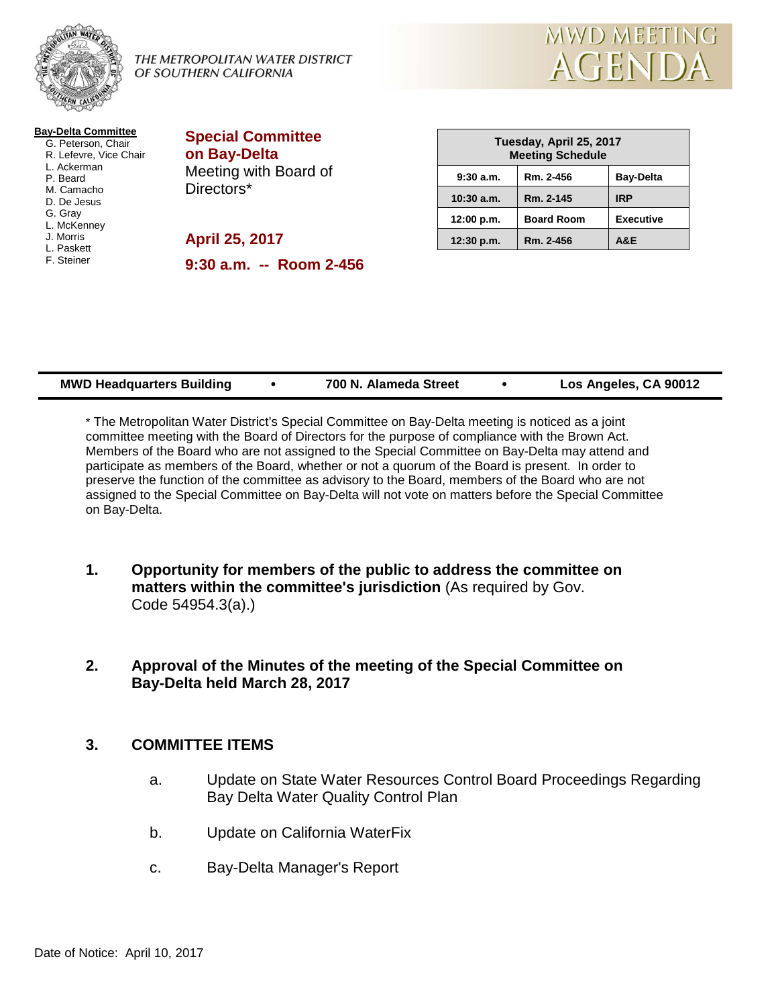

### THE METROPOLITAN WATER DISTRICT OF SOUTHERN CALIFORNIA



| <b>April 25, 2017</b><br>$9:30$ a.m. $-$ Room 2-456 |
|-----------------------------------------------------|
|                                                     |

| Tuesday, April 25, 2017<br><b>Meeting Schedule</b> |                   |                  |  |  |
|----------------------------------------------------|-------------------|------------------|--|--|
| 9:30a.m.                                           | Rm. 2-456         | <b>Bay-Delta</b> |  |  |
| $10:30$ a.m.                                       | Rm. 2-145         | <b>IRP</b>       |  |  |
| 12:00 p.m.                                         | <b>Board Room</b> | <b>Executive</b> |  |  |
| 12:30 p.m.                                         | Rm. 2-456         | <b>A&amp;E</b>   |  |  |

| <b>MWD Headquarters Building</b> | 700 N. Alameda Street |  | Los Angeles, CA 90012 |
|----------------------------------|-----------------------|--|-----------------------|
|----------------------------------|-----------------------|--|-----------------------|

\* The Metropolitan Water District's Special Committee on Bay-Delta meeting is noticed as a joint committee meeting with the Board of Directors for the purpose of compliance with the Brown Act. Members of the Board who are not assigned to the Special Committee on Bay-Delta may attend and participate as members of the Board, whether or not a quorum of the Board is present. In order to preserve the function of the committee as advisory to the Board, members of the Board who are not assigned to the Special Committee on Bay-Delta will not vote on matters before the Special Committee on Bay-Delta.

- **1. Opportunity for members of the public to address the committee on matters within the committee's jurisdiction** (As required by Gov. Code 54954.3(a).)
- **2. Approval of the Minutes of the meeting of the Special Committee on Bay-Delta held March 28, 2017**

# **3. COMMITTEE ITEMS**

- a. Update on State Water Resources Control Board Proceedings Regarding Bay Delta Water Quality Control Plan
- b. Update on California WaterFix
- c. Bay-Delta Manager's Report